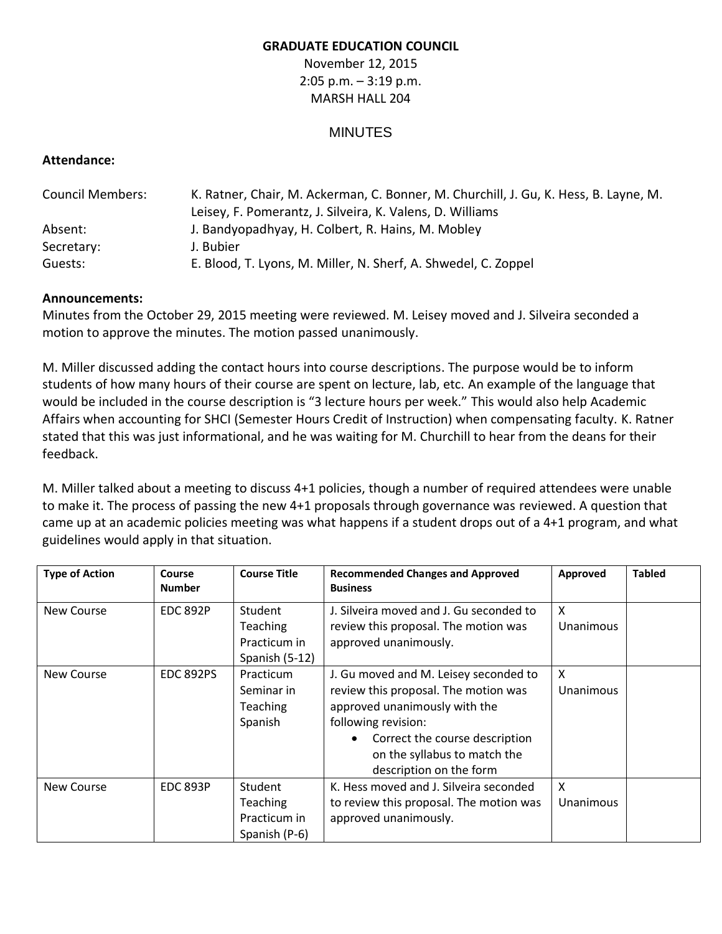## **GRADUATE EDUCATION COUNCIL**

November 12, 2015 2:05 p.m. – 3:19 p.m. MARSH HALL 204

## MINUTES

## **Attendance:**

| <b>Council Members:</b> | K. Ratner, Chair, M. Ackerman, C. Bonner, M. Churchill, J. Gu, K. Hess, B. Layne, M. |  |  |  |  |
|-------------------------|--------------------------------------------------------------------------------------|--|--|--|--|
|                         | Leisey, F. Pomerantz, J. Silveira, K. Valens, D. Williams                            |  |  |  |  |
| Absent:                 | J. Bandyopadhyay, H. Colbert, R. Hains, M. Mobley                                    |  |  |  |  |
| Secretary:              | J. Bubier                                                                            |  |  |  |  |
| Guests:                 | E. Blood, T. Lyons, M. Miller, N. Sherf, A. Shwedel, C. Zoppel                       |  |  |  |  |

## **Announcements:**

Minutes from the October 29, 2015 meeting were reviewed. M. Leisey moved and J. Silveira seconded a motion to approve the minutes. The motion passed unanimously.

M. Miller discussed adding the contact hours into course descriptions. The purpose would be to inform students of how many hours of their course are spent on lecture, lab, etc. An example of the language that would be included in the course description is "3 lecture hours per week." This would also help Academic Affairs when accounting for SHCI (Semester Hours Credit of Instruction) when compensating faculty. K. Ratner stated that this was just informational, and he was waiting for M. Churchill to hear from the deans for their feedback.

M. Miller talked about a meeting to discuss 4+1 policies, though a number of required attendees were unable to make it. The process of passing the new 4+1 proposals through governance was reviewed. A question that came up at an academic policies meeting was what happens if a student drops out of a 4+1 program, and what guidelines would apply in that situation.

| <b>Type of Action</b> | Course<br><b>Number</b> | <b>Course Title</b>                                          | <b>Recommended Changes and Approved</b><br><b>Business</b>                                                                                                                                                                         | Approved                         | <b>Tabled</b> |
|-----------------------|-------------------------|--------------------------------------------------------------|------------------------------------------------------------------------------------------------------------------------------------------------------------------------------------------------------------------------------------|----------------------------------|---------------|
| <b>New Course</b>     | <b>EDC 892P</b>         | <b>Student</b><br>Teaching<br>Practicum in<br>Spanish (5-12) | J. Silveira moved and J. Gu seconded to<br>review this proposal. The motion was<br>approved unanimously.                                                                                                                           | X<br>Unanimous                   |               |
| <b>New Course</b>     | <b>EDC 892PS</b>        | Practicum<br>Seminar in<br><b>Teaching</b><br>Spanish        | J. Gu moved and M. Leisey seconded to<br>review this proposal. The motion was<br>approved unanimously with the<br>following revision:<br>Correct the course description<br>on the syllabus to match the<br>description on the form | $\mathsf{x}$<br><b>Unanimous</b> |               |
| New Course            | <b>EDC 893P</b>         | Student<br><b>Teaching</b><br>Practicum in<br>Spanish (P-6)  | K. Hess moved and J. Silveira seconded<br>to review this proposal. The motion was<br>approved unanimously.                                                                                                                         | $\mathsf{x}$<br>Unanimous        |               |